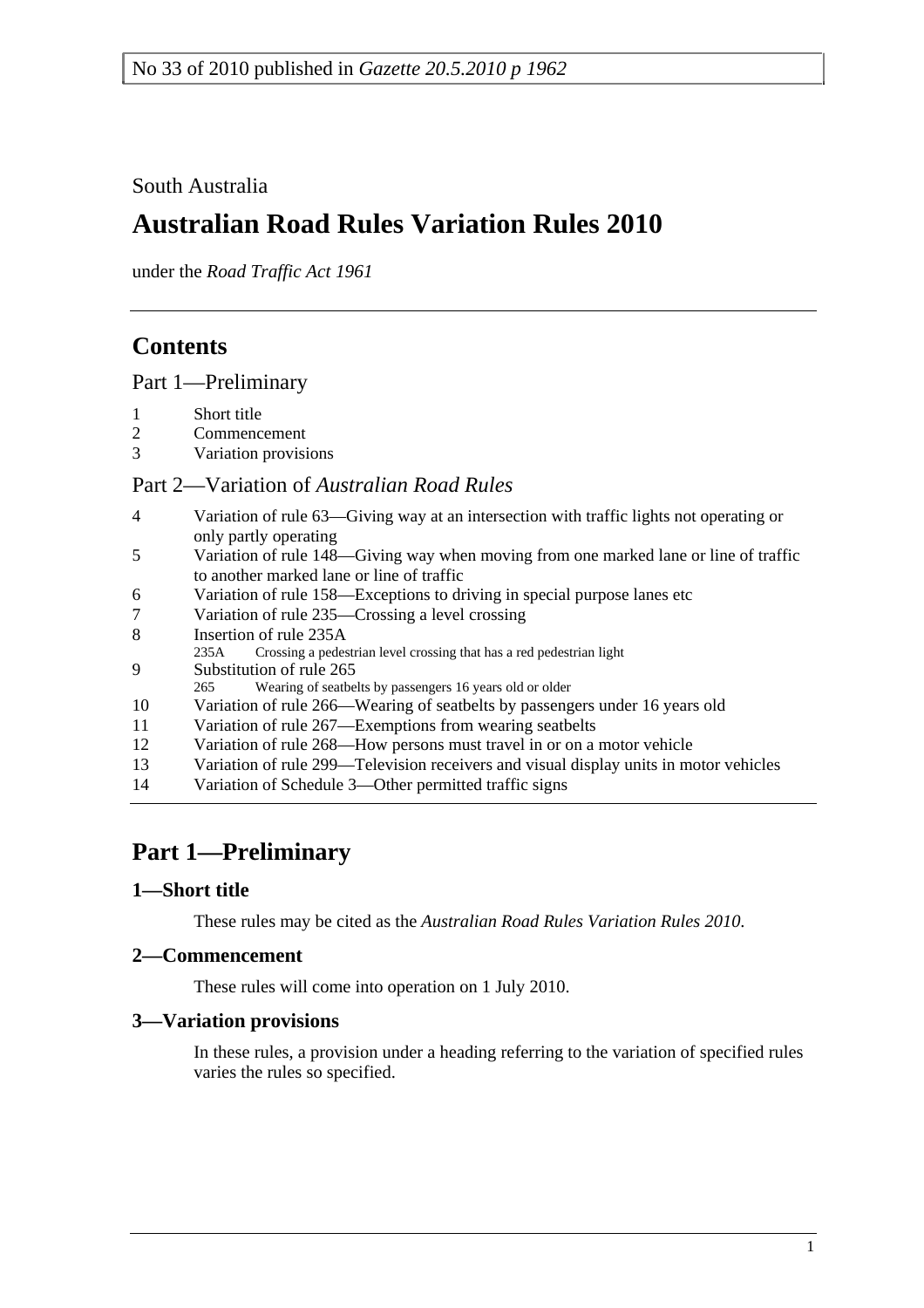## South Australia

# **Australian Road Rules Variation Rules 2010**

under the *Road Traffic Act 1961*

## **Contents**

Part 1—Preliminary

- 1 Short title
- 2 Commencement
- 3 Variation provisions

### Part 2—Variation of *Australian Road Rules*

- 4 Variation of rule 63—Giving way at an intersection with traffic lights not operating or only partly operating
- 5 Variation of rule 148—Giving way when moving from one marked lane or line of traffic to another marked lane or line of traffic
- 6 Variation of rule 158—Exceptions to driving in special purpose lanes etc
- 7 Variation of rule 235—Crossing a level crossing
- 8 Insertion of rule 235A
- 235A Crossing a pedestrian level crossing that has a red pedestrian light
- 9 Substitution of rule 265
- 265 Wearing of seatbelts by passengers 16 years old or older
- 10 Variation of rule 266—Wearing of seatbelts by passengers under 16 years old
- 11 Variation of rule 267—Exemptions from wearing seatbelts
- 12 Variation of rule 268—How persons must travel in or on a motor vehicle
- 13 Variation of rule 299—Television receivers and visual display units in motor vehicles
- 14 Variation of Schedule 3—Other permitted traffic signs

# **Part 1—Preliminary**

### **1—Short title**

These rules may be cited as the *Australian Road Rules Variation Rules 2010*.

### **2—Commencement**

These rules will come into operation on 1 July 2010.

### **3—Variation provisions**

In these rules, a provision under a heading referring to the variation of specified rules varies the rules so specified.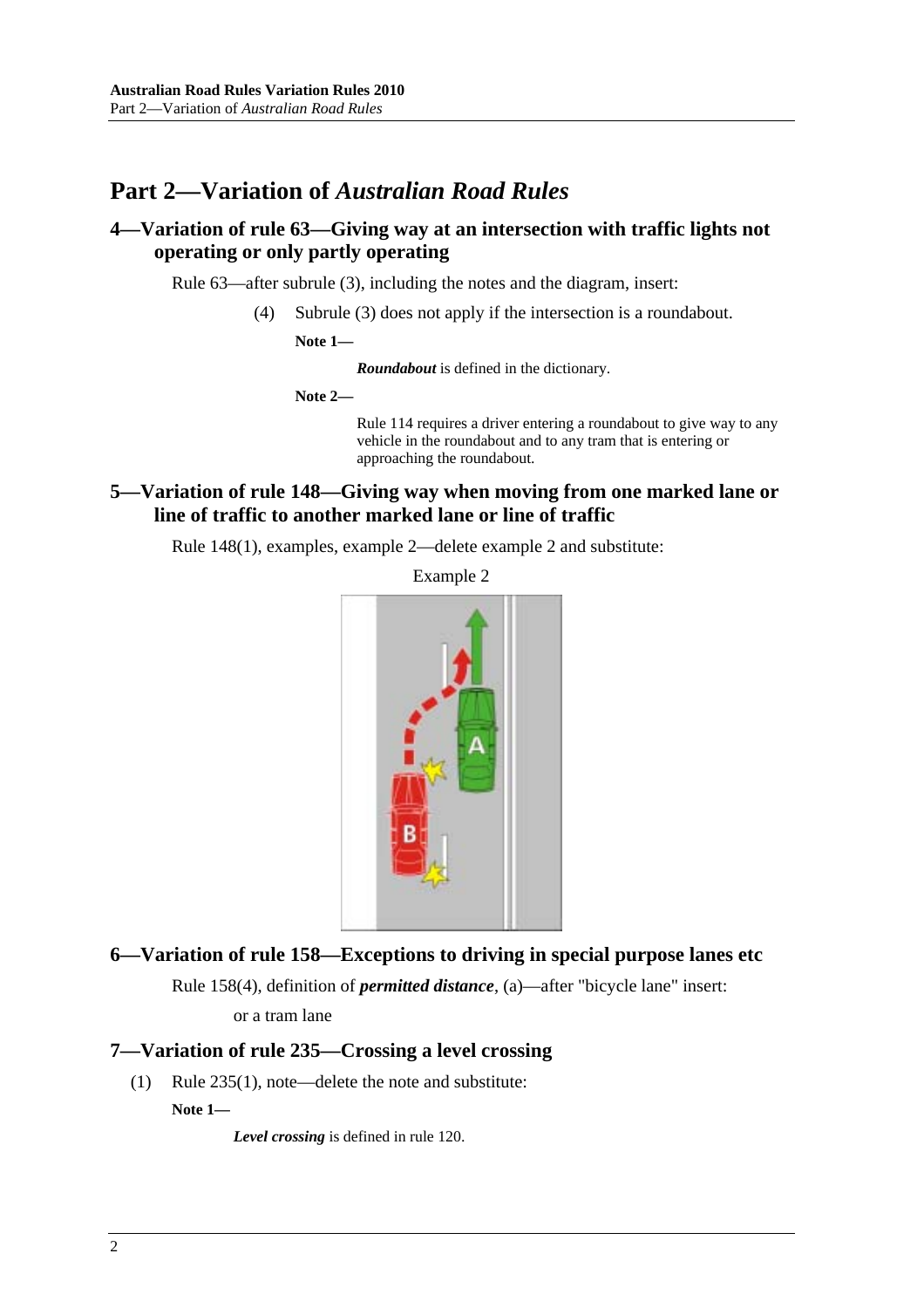## **Part 2—Variation of** *Australian Road Rules*

### **4—Variation of rule 63—Giving way at an intersection with traffic lights not operating or only partly operating**

Rule 63—after subrule (3), including the notes and the diagram, insert:

(4) Subrule (3) does not apply if the intersection is a roundabout.

**Note 1—** 

*Roundabout* is defined in the dictionary.

**Note 2—** 

Rule 114 requires a driver entering a roundabout to give way to any vehicle in the roundabout and to any tram that is entering or approaching the roundabout.

### **5—Variation of rule 148—Giving way when moving from one marked lane or line of traffic to another marked lane or line of traffic**

Rule 148(1), examples, example 2—delete example 2 and substitute:

Example 2



#### **6—Variation of rule 158—Exceptions to driving in special purpose lanes etc**

Rule 158(4), definition of *permitted distance*, (a)—after "bicycle lane" insert:

or a tram lane

#### **7—Variation of rule 235—Crossing a level crossing**

(1) Rule 235(1), note—delete the note and substitute:

**Note 1—** 

*Level crossing* is defined in rule 120.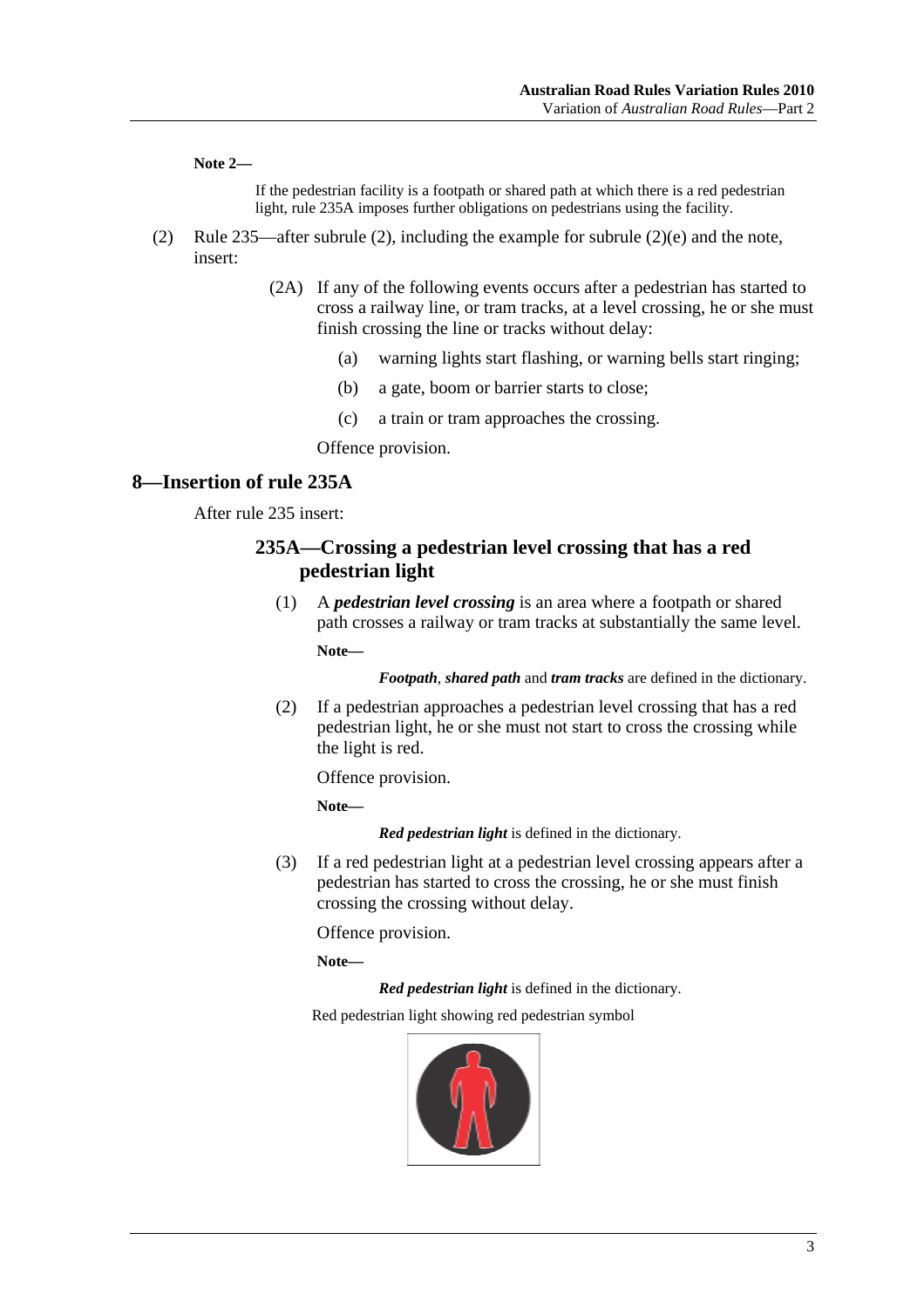**Note 2—** 

If the pedestrian facility is a footpath or shared path at which there is a red pedestrian light, rule 235A imposes further obligations on pedestrians using the facility.

- (2) Rule 235—after subrule (2), including the example for subrule (2)(e) and the note, insert:
	- (2A) If any of the following events occurs after a pedestrian has started to cross a railway line, or tram tracks, at a level crossing, he or she must finish crossing the line or tracks without delay:
		- (a) warning lights start flashing, or warning bells start ringing;
		- (b) a gate, boom or barrier starts to close;
		- (c) a train or tram approaches the crossing.

Offence provision.

#### **8—Insertion of rule 235A**

After rule 235 insert:

#### **235A—Crossing a pedestrian level crossing that has a red pedestrian light**

 (1) A *pedestrian level crossing* is an area where a footpath or shared path crosses a railway or tram tracks at substantially the same level. **Note—** 

*Footpath*, *shared path* and *tram tracks* are defined in the dictionary.

 (2) If a pedestrian approaches a pedestrian level crossing that has a red pedestrian light, he or she must not start to cross the crossing while the light is red.

Offence provision.

**Note—** 

*Red pedestrian light* is defined in the dictionary.

 (3) If a red pedestrian light at a pedestrian level crossing appears after a pedestrian has started to cross the crossing, he or she must finish crossing the crossing without delay.

Offence provision.

**Note—** 

*Red pedestrian light* is defined in the dictionary.

Red pedestrian light showing red pedestrian symbol

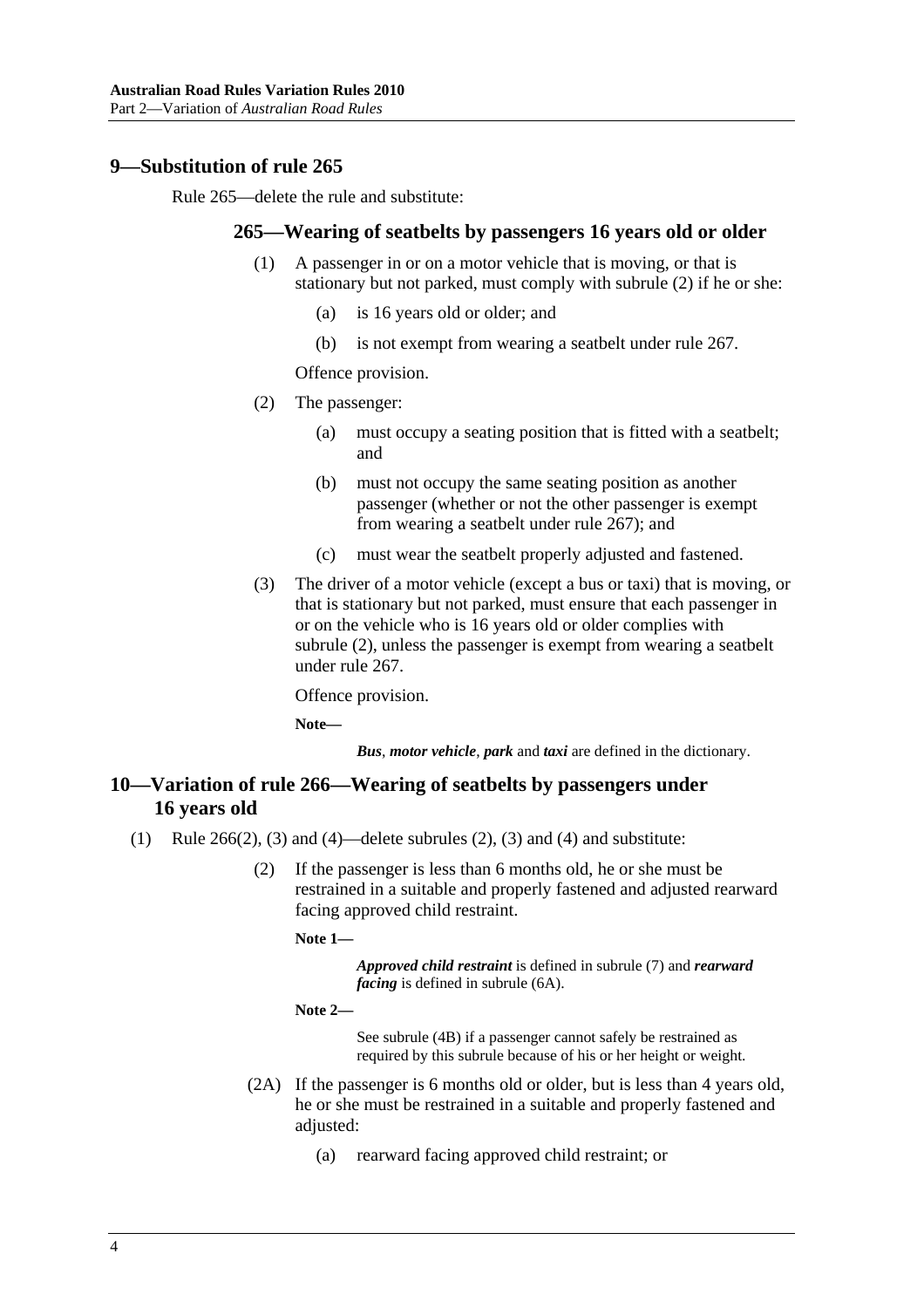#### **9—Substitution of rule 265**

Rule 265—delete the rule and substitute:

#### **265—Wearing of seatbelts by passengers 16 years old or older**

- (1) A passenger in or on a motor vehicle that is moving, or that is stationary but not parked, must comply with subrule (2) if he or she:
	- (a) is 16 years old or older; and
	- (b) is not exempt from wearing a seatbelt under rule 267.

Offence provision.

- (2) The passenger:
	- (a) must occupy a seating position that is fitted with a seatbelt; and
	- (b) must not occupy the same seating position as another passenger (whether or not the other passenger is exempt from wearing a seatbelt under rule 267); and
	- (c) must wear the seatbelt properly adjusted and fastened.
- (3) The driver of a motor vehicle (except a bus or taxi) that is moving, or that is stationary but not parked, must ensure that each passenger in or on the vehicle who is 16 years old or older complies with subrule (2), unless the passenger is exempt from wearing a seatbelt under rule 267.

Offence provision.

**Note—** 

*Bus*, *motor vehicle*, *park* and *taxi* are defined in the dictionary.

### **10—Variation of rule 266—Wearing of seatbelts by passengers under 16 years old**

- (1) Rule 266(2), (3) and (4)—delete subrules (2), (3) and (4) and substitute:
	- (2) If the passenger is less than 6 months old, he or she must be restrained in a suitable and properly fastened and adjusted rearward facing approved child restraint.

**Note 1—** 

*Approved child restraint* is defined in subrule (7) and *rearward facing* is defined in subrule (6A).

```
Note 2—
```
See subrule (4B) if a passenger cannot safely be restrained as required by this subrule because of his or her height or weight.

- (2A) If the passenger is 6 months old or older, but is less than 4 years old, he or she must be restrained in a suitable and properly fastened and adjusted:
	- (a) rearward facing approved child restraint; or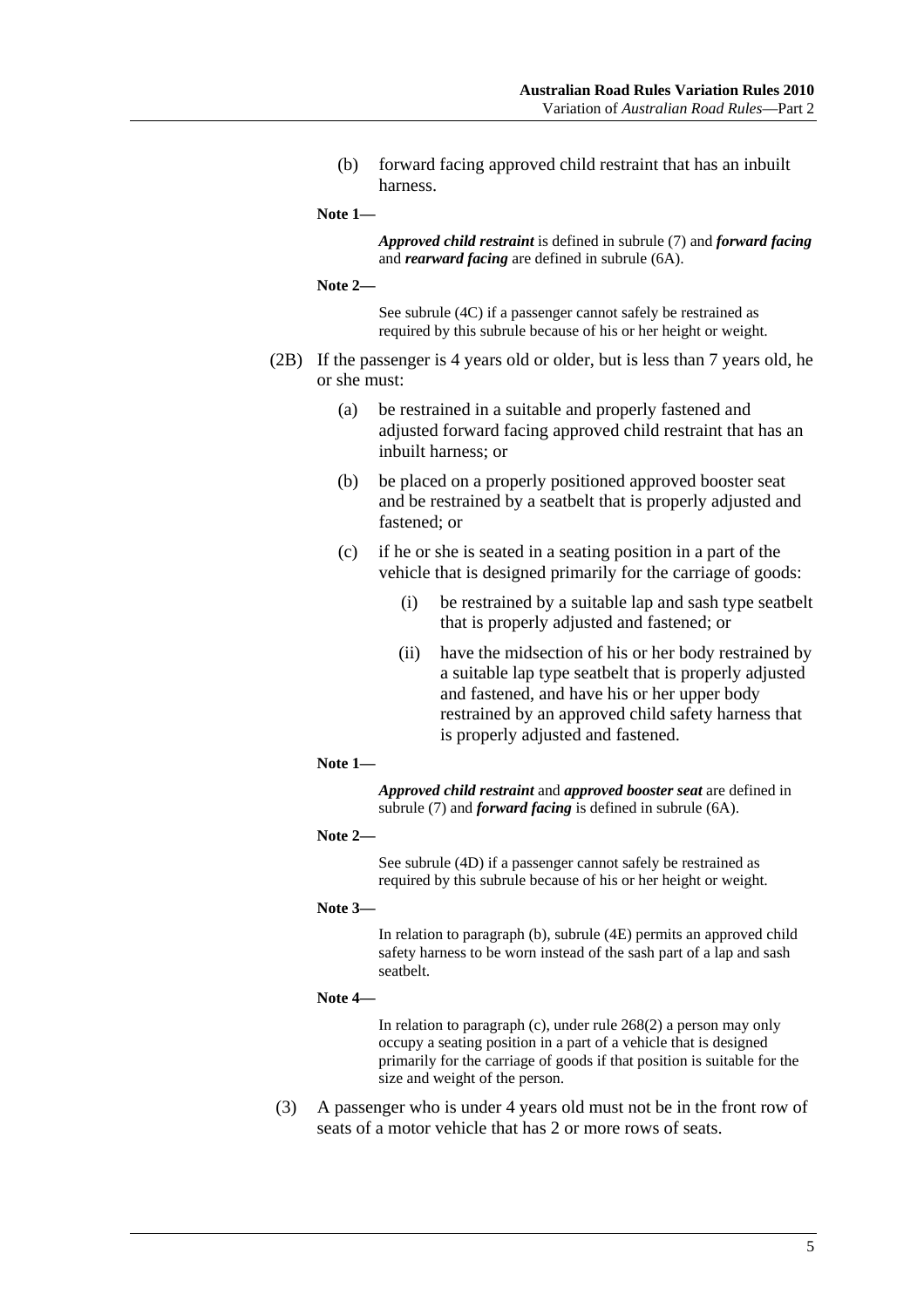(b) forward facing approved child restraint that has an inbuilt harness.

**Note 1—** 

*Approved child restraint* is defined in subrule (7) and *forward facing* and *rearward facing* are defined in subrule (6A).

**Note 2—** 

See subrule (4C) if a passenger cannot safely be restrained as required by this subrule because of his or her height or weight.

- (2B) If the passenger is 4 years old or older, but is less than 7 years old, he or she must:
	- (a) be restrained in a suitable and properly fastened and adjusted forward facing approved child restraint that has an inbuilt harness; or
	- (b) be placed on a properly positioned approved booster seat and be restrained by a seatbelt that is properly adjusted and fastened; or
	- (c) if he or she is seated in a seating position in a part of the vehicle that is designed primarily for the carriage of goods:
		- (i) be restrained by a suitable lap and sash type seatbelt that is properly adjusted and fastened; or
		- (ii) have the midsection of his or her body restrained by a suitable lap type seatbelt that is properly adjusted and fastened, and have his or her upper body restrained by an approved child safety harness that is properly adjusted and fastened.
	- **Note 1—**

*Approved child restraint* and *approved booster seat* are defined in subrule (7) and *forward facing* is defined in subrule (6A).

**Note 2—** 

See subrule (4D) if a passenger cannot safely be restrained as required by this subrule because of his or her height or weight.

**Note 3—** 

In relation to paragraph (b), subrule (4E) permits an approved child safety harness to be worn instead of the sash part of a lap and sash seatbelt.

**Note 4—** 

In relation to paragraph (c), under rule 268(2) a person may only occupy a seating position in a part of a vehicle that is designed primarily for the carriage of goods if that position is suitable for the size and weight of the person.

 (3) A passenger who is under 4 years old must not be in the front row of seats of a motor vehicle that has 2 or more rows of seats.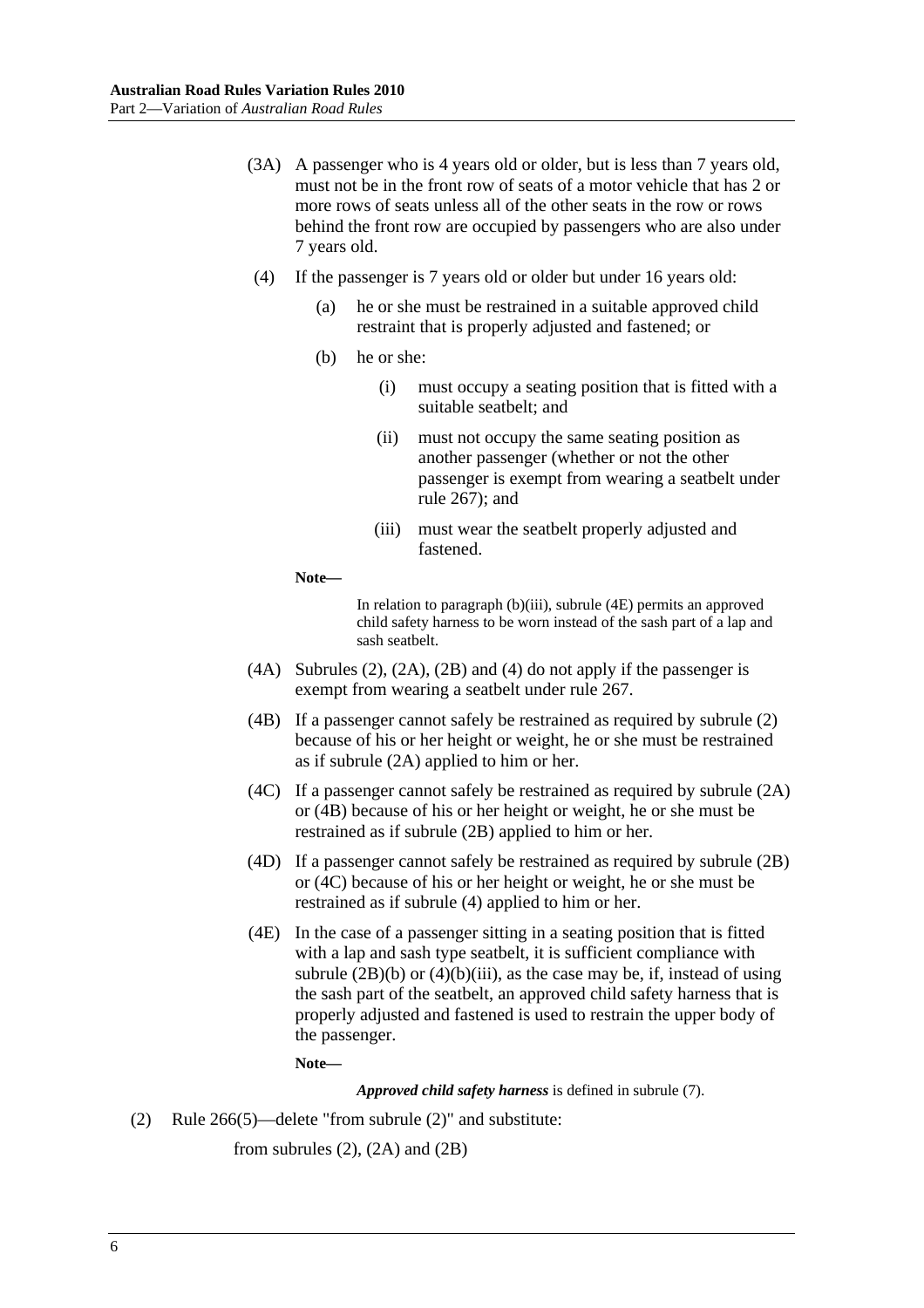- (3A) A passenger who is 4 years old or older, but is less than 7 years old, must not be in the front row of seats of a motor vehicle that has 2 or more rows of seats unless all of the other seats in the row or rows behind the front row are occupied by passengers who are also under 7 years old.
- (4) If the passenger is 7 years old or older but under 16 years old:
	- (a) he or she must be restrained in a suitable approved child restraint that is properly adjusted and fastened; or
	- (b) he or she:
		- (i) must occupy a seating position that is fitted with a suitable seatbelt; and
		- (ii) must not occupy the same seating position as another passenger (whether or not the other passenger is exempt from wearing a seatbelt under rule 267); and
		- (iii) must wear the seatbelt properly adjusted and fastened.

**Note—** 

In relation to paragraph (b)(iii), subrule (4E) permits an approved child safety harness to be worn instead of the sash part of a lap and sash seatbelt.

- $(4A)$  Subrules  $(2)$ ,  $(2A)$ ,  $(2B)$  and  $(4)$  do not apply if the passenger is exempt from wearing a seatbelt under rule 267.
- (4B) If a passenger cannot safely be restrained as required by subrule (2) because of his or her height or weight, he or she must be restrained as if subrule (2A) applied to him or her.
- (4C) If a passenger cannot safely be restrained as required by subrule (2A) or (4B) because of his or her height or weight, he or she must be restrained as if subrule (2B) applied to him or her.
- (4D) If a passenger cannot safely be restrained as required by subrule (2B) or (4C) because of his or her height or weight, he or she must be restrained as if subrule (4) applied to him or her.
- (4E) In the case of a passenger sitting in a seating position that is fitted with a lap and sash type seatbelt, it is sufficient compliance with subrule  $(2B)(b)$  or  $(4)(b)(iii)$ , as the case may be, if, instead of using the sash part of the seatbelt, an approved child safety harness that is properly adjusted and fastened is used to restrain the upper body of the passenger.

**Note—** 

*Approved child safety harness* is defined in subrule (7).

(2) Rule 266(5)—delete "from subrule (2)" and substitute:

from subrules  $(2)$ ,  $(2A)$  and  $(2B)$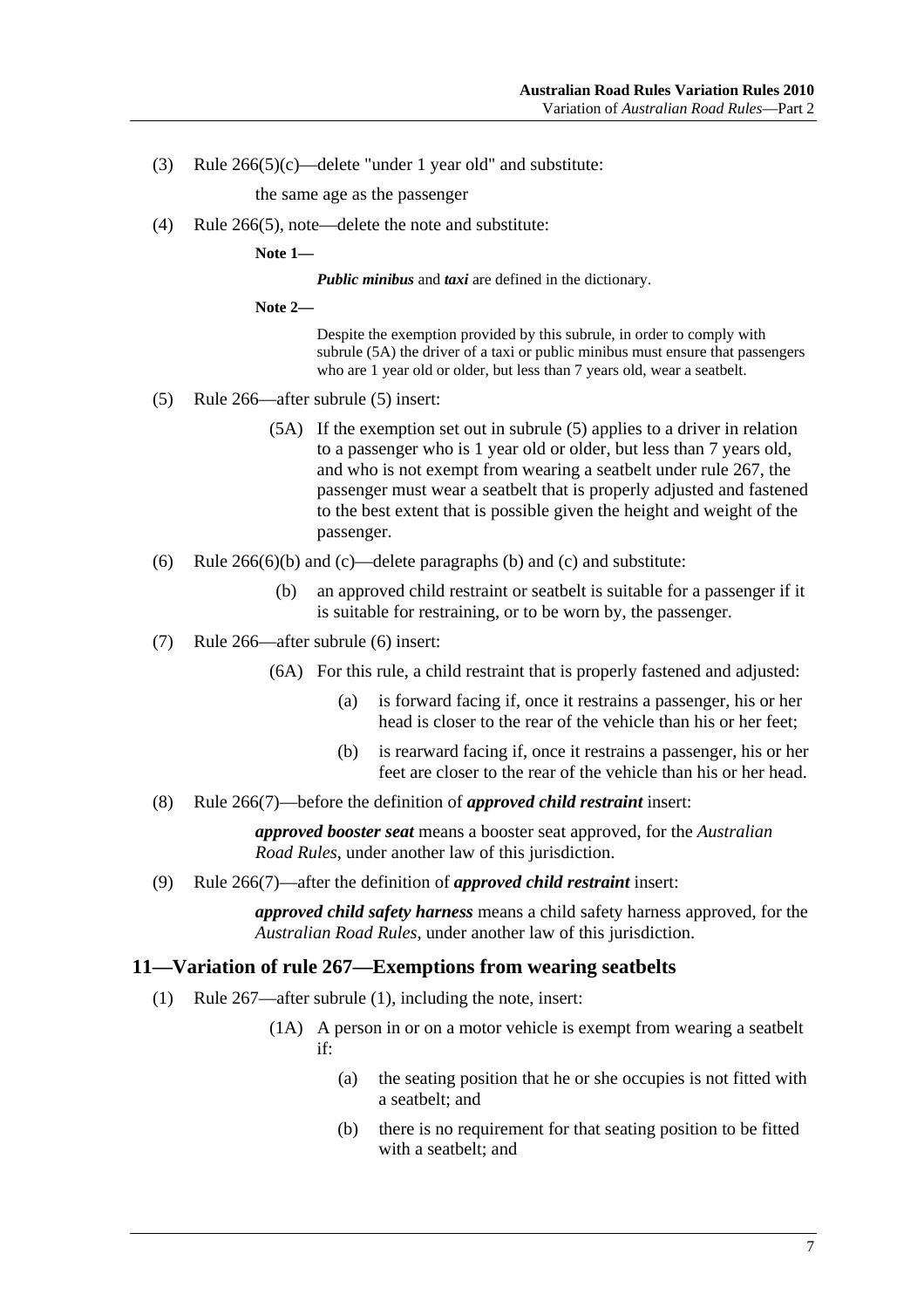(3) Rule  $266(5)(c)$ —delete "under 1 year old" and substitute:

the same age as the passenger

(4) Rule 266(5), note—delete the note and substitute:

**Note 1—** 

*Public minibus* and *taxi* are defined in the dictionary.

**Note 2—** 

Despite the exemption provided by this subrule, in order to comply with subrule (5A) the driver of a taxi or public minibus must ensure that passengers who are 1 year old or older, but less than 7 years old, wear a seatbelt.

- (5) Rule 266—after subrule (5) insert:
	- (5A) If the exemption set out in subrule (5) applies to a driver in relation to a passenger who is 1 year old or older, but less than 7 years old, and who is not exempt from wearing a seatbelt under rule 267, the passenger must wear a seatbelt that is properly adjusted and fastened to the best extent that is possible given the height and weight of the passenger.
- (6) Rule  $266(6)(b)$  and (c)—delete paragraphs (b) and (c) and substitute:
	- (b) an approved child restraint or seatbelt is suitable for a passenger if it is suitable for restraining, or to be worn by, the passenger.
- (7) Rule 266—after subrule (6) insert:
	- (6A) For this rule, a child restraint that is properly fastened and adjusted:
		- (a) is forward facing if, once it restrains a passenger, his or her head is closer to the rear of the vehicle than his or her feet;
		- (b) is rearward facing if, once it restrains a passenger, his or her feet are closer to the rear of the vehicle than his or her head.
- (8) Rule 266(7)—before the definition of *approved child restraint* insert:

*approved booster seat* means a booster seat approved, for the *Australian Road Rules*, under another law of this jurisdiction.

(9) Rule 266(7)—after the definition of *approved child restraint* insert:

*approved child safety harness* means a child safety harness approved, for the *Australian Road Rules*, under another law of this jurisdiction.

#### **11—Variation of rule 267—Exemptions from wearing seatbelts**

- (1) Rule 267—after subrule (1), including the note, insert:
	- (1A) A person in or on a motor vehicle is exempt from wearing a seatbelt if:
		- (a) the seating position that he or she occupies is not fitted with a seatbelt; and
		- (b) there is no requirement for that seating position to be fitted with a seatbelt: and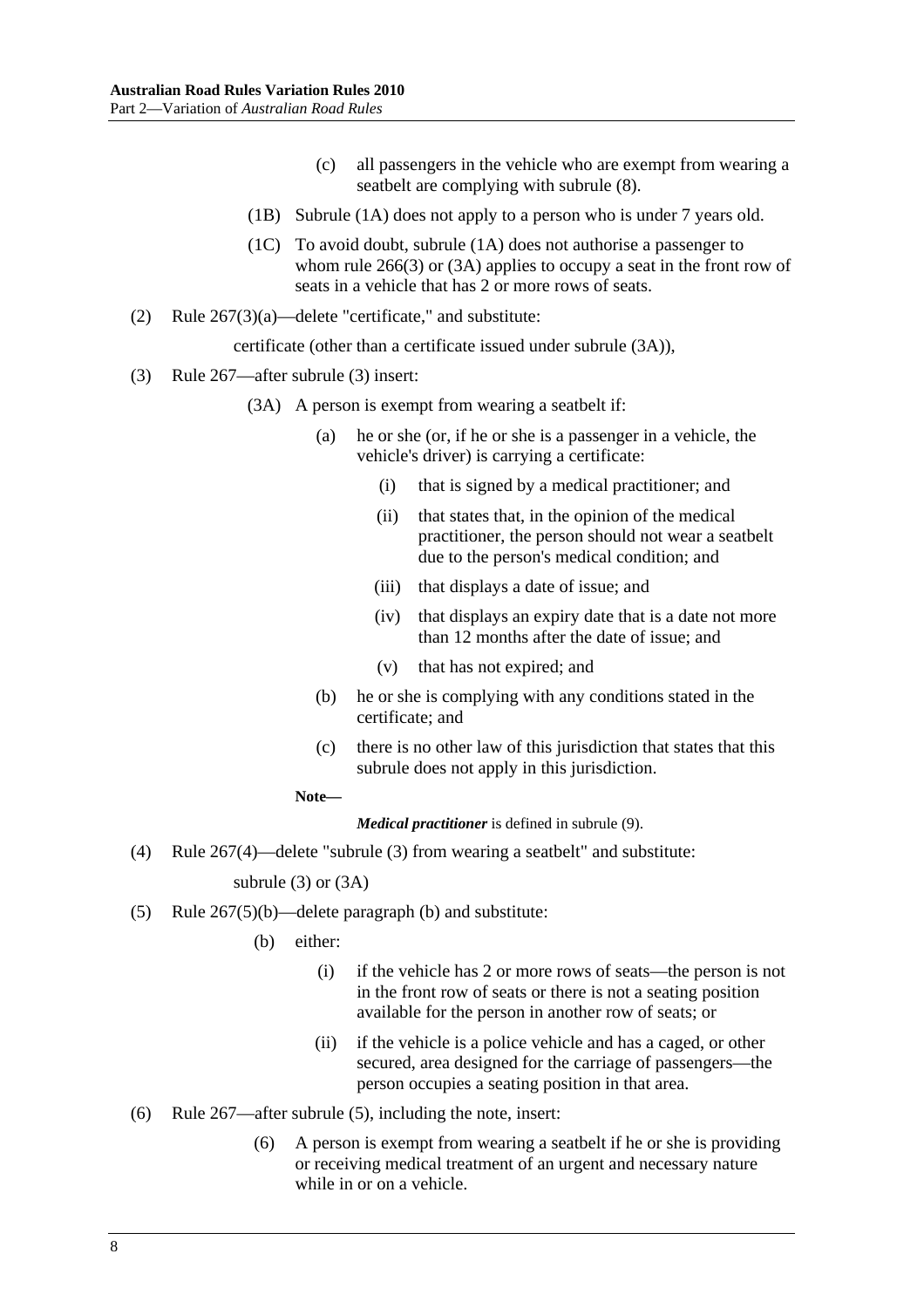- (c) all passengers in the vehicle who are exempt from wearing a seatbelt are complying with subrule (8).
- (1B) Subrule (1A) does not apply to a person who is under 7 years old.
- (1C) To avoid doubt, subrule (1A) does not authorise a passenger to whom rule 266(3) or (3A) applies to occupy a seat in the front row of seats in a vehicle that has 2 or more rows of seats.
- (2) Rule 267(3)(a)—delete "certificate," and substitute:

certificate (other than a certificate issued under subrule (3A)),

- (3) Rule 267—after subrule (3) insert:
	- (3A) A person is exempt from wearing a seatbelt if:
		- (a) he or she (or, if he or she is a passenger in a vehicle, the vehicle's driver) is carrying a certificate:
			- (i) that is signed by a medical practitioner; and
			- (ii) that states that, in the opinion of the medical practitioner, the person should not wear a seatbelt due to the person's medical condition; and
			- (iii) that displays a date of issue; and
			- (iv) that displays an expiry date that is a date not more than 12 months after the date of issue; and
			- (v) that has not expired; and
		- (b) he or she is complying with any conditions stated in the certificate; and
		- (c) there is no other law of this jurisdiction that states that this subrule does not apply in this jurisdiction.

#### **Note—**

*Medical practitioner* is defined in subrule (9).

(4) Rule 267(4)—delete "subrule (3) from wearing a seatbelt" and substitute:

#### subrule (3) or (3A)

- (5) Rule 267(5)(b)—delete paragraph (b) and substitute:
	- (b) either:
		- (i) if the vehicle has 2 or more rows of seats—the person is not in the front row of seats or there is not a seating position available for the person in another row of seats; or
		- (ii) if the vehicle is a police vehicle and has a caged, or other secured, area designed for the carriage of passengers—the person occupies a seating position in that area.
- (6) Rule 267—after subrule (5), including the note, insert:
	- (6) A person is exempt from wearing a seatbelt if he or she is providing or receiving medical treatment of an urgent and necessary nature while in or on a vehicle.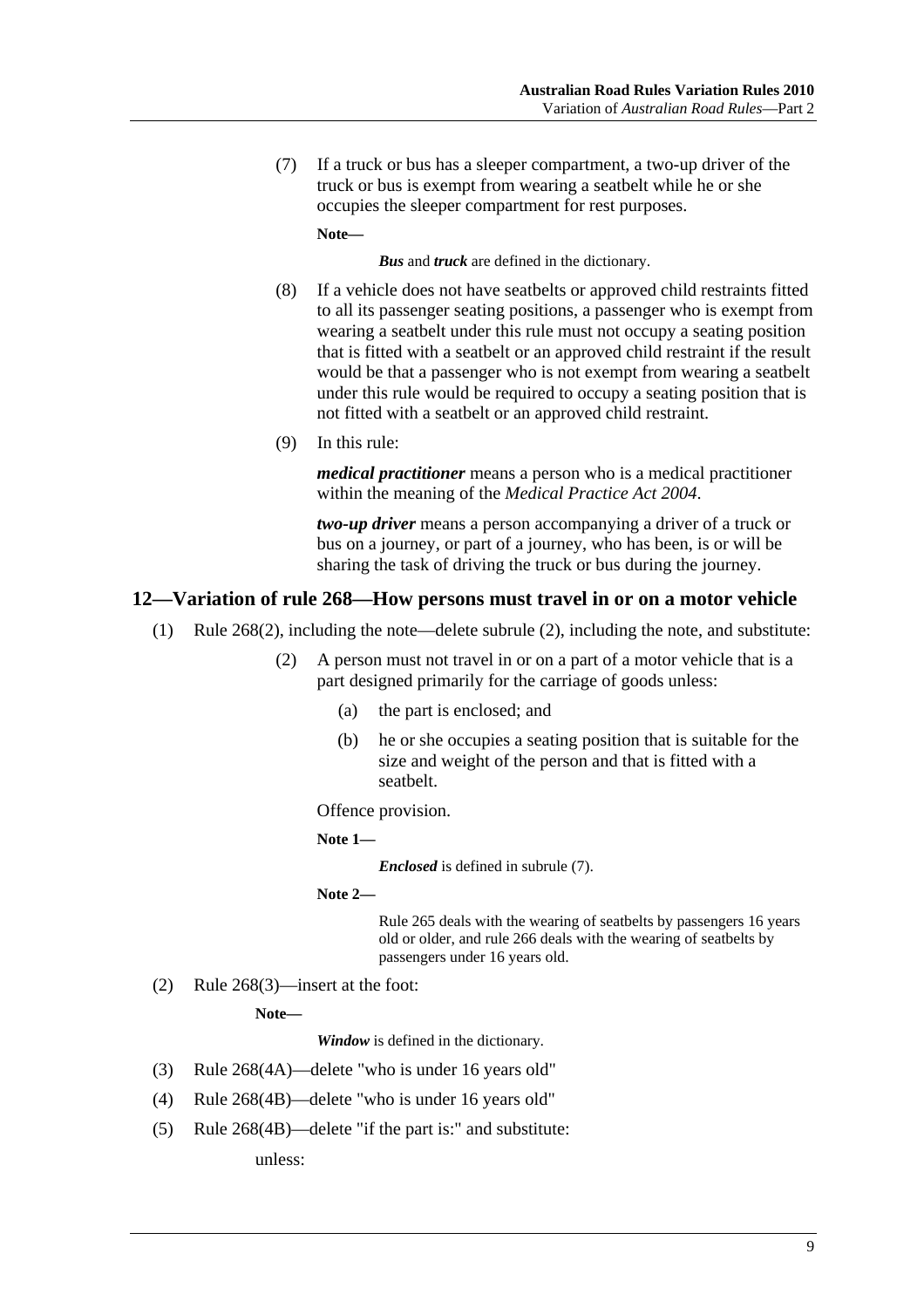(7) If a truck or bus has a sleeper compartment, a two-up driver of the truck or bus is exempt from wearing a seatbelt while he or she occupies the sleeper compartment for rest purposes.

**Note—** 

*Bus* and *truck* are defined in the dictionary.

- (8) If a vehicle does not have seatbelts or approved child restraints fitted to all its passenger seating positions, a passenger who is exempt from wearing a seatbelt under this rule must not occupy a seating position that is fitted with a seatbelt or an approved child restraint if the result would be that a passenger who is not exempt from wearing a seatbelt under this rule would be required to occupy a seating position that is not fitted with a seatbelt or an approved child restraint.
- (9) In this rule:

*medical practitioner* means a person who is a medical practitioner within the meaning of the *Medical Practice Act 2004*.

*two-up driver* means a person accompanying a driver of a truck or bus on a journey, or part of a journey, who has been, is or will be sharing the task of driving the truck or bus during the journey.

#### **12—Variation of rule 268—How persons must travel in or on a motor vehicle**

- (1) Rule 268(2), including the note—delete subrule (2), including the note, and substitute:
	- (2) A person must not travel in or on a part of a motor vehicle that is a part designed primarily for the carriage of goods unless:
		- (a) the part is enclosed; and
		- (b) he or she occupies a seating position that is suitable for the size and weight of the person and that is fitted with a seatbelt.

Offence provision.

```
Note 1—
```
*Enclosed* is defined in subrule (7).

```
Note 2—
```
Rule 265 deals with the wearing of seatbelts by passengers 16 years old or older, and rule 266 deals with the wearing of seatbelts by passengers under 16 years old.

(2) Rule 268(3)—insert at the foot:

**Note—** 

*Window* is defined in the dictionary.

- (3) Rule 268(4A)—delete "who is under 16 years old"
- (4) Rule 268(4B)—delete "who is under 16 years old"
- (5) Rule 268(4B)—delete "if the part is:" and substitute:

unless: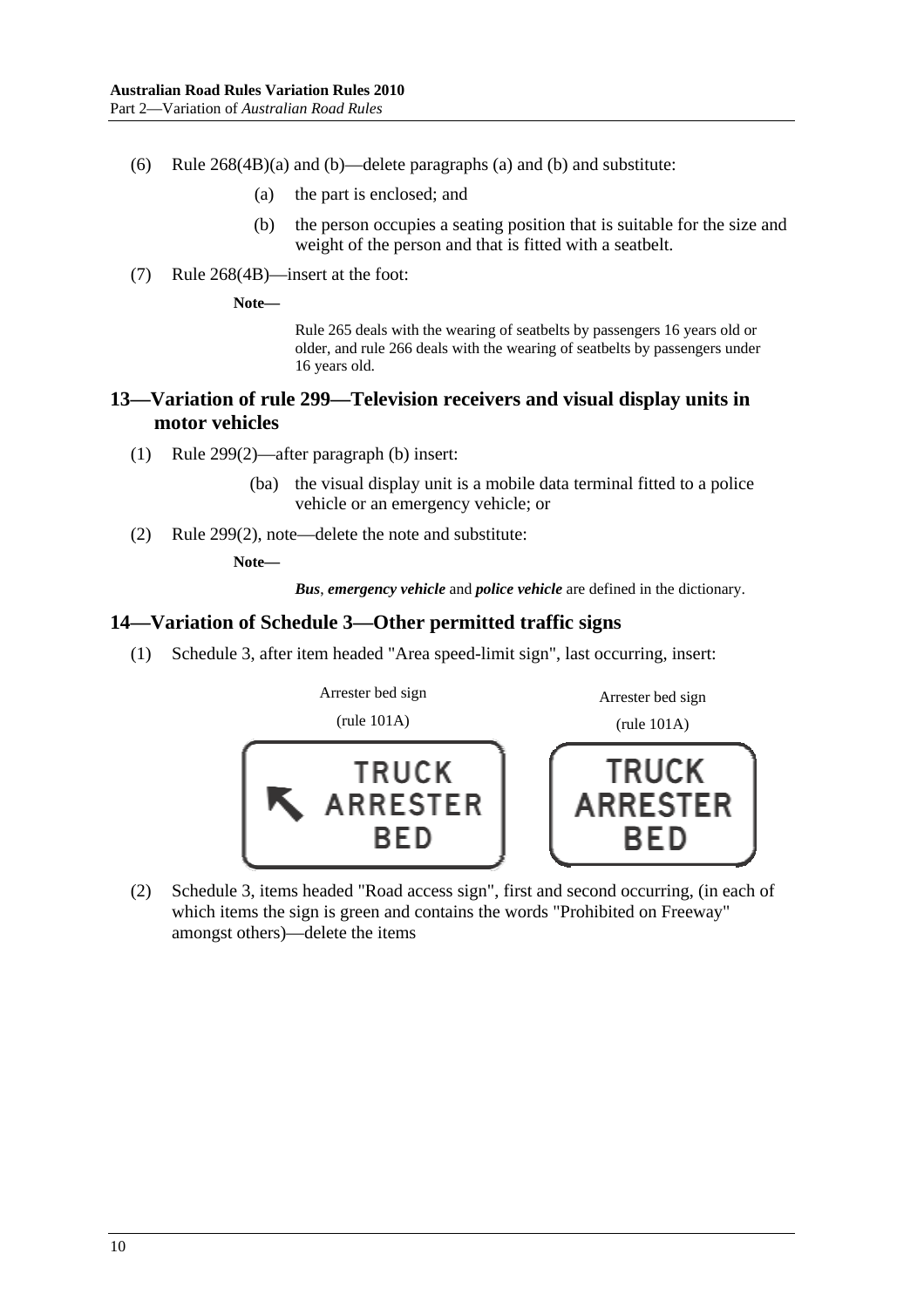- (6) Rule 268(4B)(a) and (b)—delete paragraphs (a) and (b) and substitute:
	- (a) the part is enclosed; and
	- (b) the person occupies a seating position that is suitable for the size and weight of the person and that is fitted with a seatbelt.
- (7) Rule 268(4B)—insert at the foot:

**Note—** 

Rule 265 deals with the wearing of seatbelts by passengers 16 years old or older, and rule 266 deals with the wearing of seatbelts by passengers under 16 years old.

### **13—Variation of rule 299—Television receivers and visual display units in motor vehicles**

- (1) Rule 299(2)—after paragraph (b) insert:
	- (ba) the visual display unit is a mobile data terminal fitted to a police vehicle or an emergency vehicle; or
- (2) Rule 299(2), note—delete the note and substitute:

#### **Note—**

*Bus*, *emergency vehicle* and *police vehicle* are defined in the dictionary.

#### **14—Variation of Schedule 3—Other permitted traffic signs**

(1) Schedule 3, after item headed "Area speed-limit sign", last occurring, insert:



 (2) Schedule 3, items headed "Road access sign", first and second occurring, (in each of which items the sign is green and contains the words "Prohibited on Freeway" amongst others)—delete the items